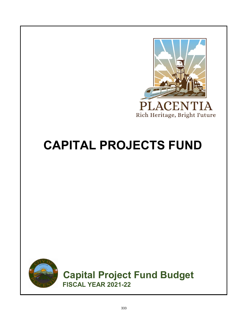

### **CAPITAL PROJECTS FUND**



**Capital Project Fund Budget FISCAL YEAR 2021-22**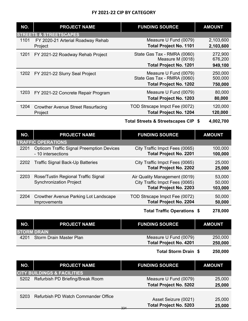| NO.  | <b>PROJECT NAME</b>                       | <b>FUNDING SOURCE</b>         | <b>AMOUNT</b> |
|------|-------------------------------------------|-------------------------------|---------------|
|      | <b>STREETS &amp; STREETSCAPES</b>         |                               |               |
| 1101 | FY 2020-21 Arterial Roadway Rehab         | Measure U Fund (0079)         | 2,103,600     |
|      | Project                                   | <b>Total Project No. 1101</b> | 2,103,600     |
| 1201 | FY 2021-22 Roadway Rehab Project          | State Gas Tax - RMRA (0060)   | 272,900       |
|      |                                           | Measure M (0018)              | 676,200       |
|      |                                           | <b>Total Project No. 1201</b> | 949,100       |
| 1202 | FY 2021-22 Slurry Seal Project            | Measure U Fund (0079)         | 250,000       |
|      |                                           | State Gas Tax - RMRA (0060)   | 500,000       |
|      |                                           | <b>Total Project No. 1202</b> | 750,000       |
| 1203 | FY 2021-22 Concrete Repair Program        | Measure U Fund (0079)         | 80,000        |
|      |                                           | <b>Total Project No. 1203</b> | 80,000        |
| 1204 | <b>Crowther Avenue Street Resurfacing</b> | TOD Strscape Impct Fee (0072) | 120,000       |
|      | Project                                   | <b>Total Project No. 1204</b> | 120,000       |

**\$ 4,002,700 Total Streets & Streetscapes CIP**

| NO.  | <b>PROJECT NAME</b>                                                    | <b>FUNDING SOURCE</b>                                                                            | <b>AMOUNT</b>               |
|------|------------------------------------------------------------------------|--------------------------------------------------------------------------------------------------|-----------------------------|
|      | <b>TRAFFIC OPERATIONS</b>                                              |                                                                                                  |                             |
| 2201 | <b>Opticom Traffic Signal Preemption Devices</b><br>- 10 intersections | City Traffic Impct Fees (0065)<br><b>Total Project No. 2201</b>                                  | 100,000<br>100,000          |
| 2202 | <b>Traffic Signal Back-Up Batteries</b>                                | City Traffic Impct Fees (0065)<br><b>Total Project No. 2202</b>                                  | 25,000<br>25,000            |
| 2203 | Rose/Tustin Regional Traffic Signal<br><b>Synchronization Project</b>  | Air Quality Management (0019)<br>City Traffic Impct Fees (0065)<br><b>Total Project No. 2203</b> | 53,000<br>50,000<br>103,000 |
| 2204 | <b>Crowther Avenue Parking Lot Landscape</b><br>Improvements           | TOD Strscape Impct Fee (0072)<br><b>Total Project No. 2204</b>                                   | 50,000<br>50,000            |
|      |                                                                        | <b>Total Traffic Operations \$</b>                                                               | 278,000                     |

| NO.                | <b>PROJECT NAME</b>     | <b>FUNDING SOURCE</b>         | <b>AMOUNT</b> |
|--------------------|-------------------------|-------------------------------|---------------|
| <b>STORM DRAIN</b> |                         |                               |               |
| 4201               | Storm Drain Master Plan | Measure U Fund (0079)         | 250,000       |
|                    |                         | <b>Total Project No. 4201</b> | 250,000       |

**\$ 250,000 Total Storm Drain**

| NO.  | <b>PROJECT NAME</b>                    | <b>FUNDING SOURCE</b>                | <b>AMOUNT</b> |
|------|----------------------------------------|--------------------------------------|---------------|
|      | <b>CITY BUILDINGS &amp; FACILITIES</b> |                                      |               |
| 5202 | Refurbish PD Briefing/Break Room       | Measure U Fund (0079)                | 25,000        |
|      |                                        | <b>Total Project No. 5202</b>        | 25,000        |
|      |                                        |                                      |               |
| 5203 | Refurbish PD Watch Commander Office    | Asset Seizure (0021)                 | 25,000        |
|      |                                        | <b>Total Project No. 5203</b><br>331 | 25,000        |
|      |                                        |                                      |               |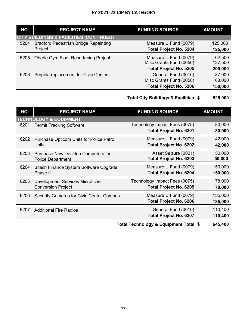| NO.  | <b>PROJECT NAME</b>                                | <b>FUNDING SOURCE</b>                            | <b>AMOUNT</b>     |
|------|----------------------------------------------------|--------------------------------------------------|-------------------|
|      | <b>CITY BUILDINGS &amp; FACILITIES (CONTINUED)</b> |                                                  |                   |
| 5204 | <b>Bradford Pedestrian Bridge Repainting</b>       | Measure U Fund (0079)                            | 125,000           |
|      | Project                                            | <b>Total Project No. 5204</b>                    | 125,000           |
| 5205 | <b>Oberle Gym Floor Resurfacing Project</b>        | Measure U Fund (0079)<br>Misc Grants Fund (0050) | 62,500<br>137,500 |
|      |                                                    | <b>Total Project No. 5205</b>                    | 200,000           |
| 5206 | Pergola replacement for Civic Center               | General Fund (0010)                              | 87,000            |
|      |                                                    | Misc Grants Fund (0050)                          | 63,000            |
|      |                                                    | <b>Total Project No. 5206</b>                    | 150,000           |

#### **\$ 525,000 Total City Buildings & Facilities**

| NO.  | <b>PROJECT NAME</b>                             | <b>FUNDING SOURCE</b>                 | <b>AMOUNT</b> |
|------|-------------------------------------------------|---------------------------------------|---------------|
|      | <b>TECHNOLOGY &amp; EQUIPMENT</b>               |                                       |               |
| 6201 | <b>Permit Tracking Software</b>                 | Technology Impact Fees (0075)         | 80,000        |
|      |                                                 | <b>Total Project No. 6201</b>         | 80,000        |
| 6202 | Purchase Opticom Units for Police Patrol        | Measure U Fund (0079)                 | 42,000        |
|      | Units                                           | <b>Total Project No. 6202</b>         | 42,000        |
| 6203 | Purchase New Desktop Computers for              | Asset Seizure (0021)                  | 50,000        |
|      | <b>Police Department</b>                        | <b>Total Project No. 6203</b>         | 50,000        |
| 6204 | Bitech Finance System Software Upgrade          | Measure U Fund (0079)                 | 150,000       |
|      | Phase II                                        | <b>Total Project No. 6204</b>         | 150,000       |
| 6205 | Development Services Microfiche                 | Technology Impact Fees (0075)         | 78,000        |
|      | <b>Conversion Project</b>                       | <b>Total Project No. 6205</b>         | 78,000        |
| 6206 | <b>Security Cameras for Civic Center Campus</b> | Measure U Fund (0079)                 | 135,000       |
|      |                                                 | <b>Total Project No. 6206</b>         | 135,000       |
| 6207 | <b>Additional Fire Radios</b>                   | General Fund (0010)                   | 110,400       |
|      |                                                 | <b>Total Project No. 6207</b>         | 110,400       |
|      |                                                 | Tatel Technology, 0 Faulument Tatel C | CAE ANN       |

**\$ 645,400 Total Technology & Equipment Total**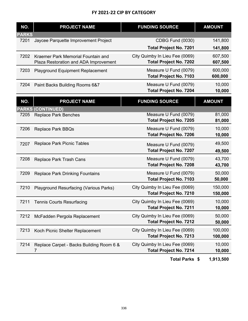| NO.          | <b>PROJECT NAME</b>                           | <b>FUNDING SOURCE</b>                                  | <b>AMOUNT</b>    |
|--------------|-----------------------------------------------|--------------------------------------------------------|------------------|
| <b>PARKS</b> |                                               |                                                        |                  |
| 7201         | Jaycee Parquette Improvement Project          | CDBG Fund (0030)                                       | 141,800          |
|              |                                               | <b>Total Project No. 7201</b>                          | 141,800          |
| 7202         | Kraemer Park Memorial Fountain and            | City Quimby In Lieu Fee (0069)                         | 607,500          |
|              | Plaza Restoration and ADA Improvement         | <b>Total Project No. 7202</b>                          | 607,500          |
| 7203         | <b>Playground Equipment Replacement</b>       | Measure U Fund (0079)                                  | 600,000          |
|              |                                               | <b>Total Project No. 7103</b>                          | 600,000          |
| 7204         |                                               | Measure U Fund (0079)                                  | 10,000           |
|              | Paint Backs Building Rooms 6&7                | <b>Total Project No. 7204</b>                          | 10,000           |
|              |                                               |                                                        |                  |
| NO.          | <b>PROJECT NAME</b>                           | <b>FUNDING SOURCE</b>                                  | <b>AMOUNT</b>    |
|              | <b>PARKS (CONTINUED)</b>                      |                                                        |                  |
| 7205         | <b>Replace Park Benches</b>                   | Measure U Fund (0079)                                  | 81,000           |
|              |                                               | <b>Total Project No. 7205</b>                          | 81,000           |
| 7206         | <b>Replace Park BBQs</b>                      | Measure U Fund (0079)                                  | 10,000           |
|              |                                               | <b>Total Project No. 7206</b>                          | 10,000           |
| 7207         | <b>Replace Park Picnic Tables</b>             | Measure U Fund (0079)                                  | 49,500           |
|              |                                               | <b>Total Project No. 7207</b>                          | 49,500           |
|              |                                               |                                                        |                  |
| 7208         | Replace Park Trash Cans                       | Measure U Fund (0079)<br><b>Total Project No. 7208</b> | 43,700<br>43,700 |
|              |                                               |                                                        |                  |
| 7209         | <b>Replace Park Drinking Fountains</b>        | Measure U Fund (0079)                                  | 50,000           |
|              |                                               | <b>Total Project No. 7103</b>                          | 50,000           |
| 7210         | <b>Playground Resurfacing (Various Parks)</b> | City Quimby In Lieu Fee (0069)                         | 150,000          |
|              |                                               | <b>Total Project No. 7210</b>                          | 150,000          |
| 7211         | <b>Tennis Courts Resurfacing</b>              | City Quimby In Lieu Fee (0069)                         | 10,000           |
|              |                                               | <b>Total Project No. 7211</b>                          | 10,000           |
| 7212         | McFadden Pergola Replacement                  | City Quimby In Lieu Fee (0069)                         | 50,000           |
|              |                                               | <b>Total Project No. 7212</b>                          | 50,000           |
| 7213         | Koch Picnic Shelter Replacement               | City Quimby In Lieu Fee (0069)                         | 100,000          |
|              |                                               | <b>Total Project No. 7213</b>                          | 100,000          |
| 7214         | Replace Carpet - Backs Building Room 6 &      | City Quimby In Lieu Fee (0069)                         | 10,000           |
|              | $\prime$                                      | <b>Total Project No. 7214</b>                          | 10,000           |
|              |                                               |                                                        |                  |
|              |                                               | Total Parks \$                                         | 1,913,500        |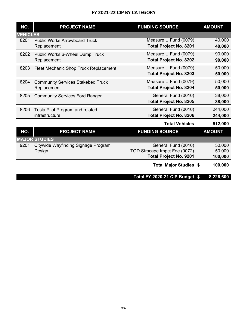| NO.             | <b>PROJECT NAME</b>                      | <b>FUNDING SOURCE</b>          | <b>AMOUNT</b> |
|-----------------|------------------------------------------|--------------------------------|---------------|
| <b>VEHICLES</b> |                                          |                                |               |
| 8201            | <b>Public Works Arrowboard Truck</b>     | Measure U Fund (0079)          | 40,000        |
|                 | Replacement                              | <b>Total Project No. 8201</b>  | 40,000        |
| 8202            | Public Works 6-Wheel Dump Truck          | Measure U Fund (0079)          | 90,000        |
|                 | Replacement                              | <b>Total Project No. 8202</b>  | 90,000        |
| 8203            | Fleet Mechanic Shop Truck Replacement    | Measure U Fund (0079)          | 50,000        |
|                 |                                          | <b>Total Project No. 8203</b>  | 50,000        |
| 8204            | <b>Community Services Stakebed Truck</b> | Measure U Fund (0079)          | 50,000        |
|                 | Replacement                              | <b>Total Project No. 8204</b>  | 50,000        |
| 8205            | <b>Community Services Ford Ranger</b>    | General Fund (0010)            | 38,000        |
|                 |                                          | <b>Total Project No. 8205</b>  | 38,000        |
| 8206            | Tesla Pilot Program and related          | General Fund (0010)            | 244,000       |
|                 | infrastructure                           | <b>Total Project No. 8206</b>  | 244,000       |
|                 |                                          | <b>Total Vehicles</b>          | 512,000       |
| NO.             | <b>PROJECT NAME</b>                      | <b>FUNDING SOURCE</b>          | <b>AMOUNT</b> |
|                 | <b>MAJOR STUDIES</b>                     |                                |               |
| 9201            | Citywide Wayfinding Signage Program      | General Fund (0010)            | 50,000        |
|                 | Design                                   | TOD Strscape Impct Fee (0072)  | 50,000        |
|                 |                                          | <b>Total Project No. 9201</b>  | 100,000       |
|                 |                                          | <b>Total Major Studies \$</b>  | 100,000       |
|                 |                                          | Total FY 2020-21 CIP Budget \$ | 8,226,600     |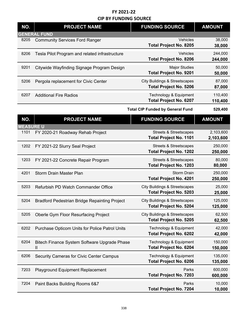| NO.              | <b>PROJECT NAME</b>                               | <b>FUNDING SOURCE</b>                                                     | <b>AMOUNT</b>          |
|------------------|---------------------------------------------------|---------------------------------------------------------------------------|------------------------|
|                  | <b>GENERAL FUND</b>                               |                                                                           |                        |
| 8205             | <b>Community Services Ford Ranger</b>             | Vehicles<br><b>Total Project No. 8205</b>                                 | 38,000<br>38,000       |
| 8206             | Tesla Pilot Program and related infrastructure    | Vehicles<br><b>Total Project No. 8206</b>                                 | 244,000<br>244,000     |
| 9201             | Citywide Wayfinding Signage Program Design        | <b>Major Studies</b><br><b>Total Project No. 9201</b>                     | 50,000<br>50,000       |
| 5206             | Pergola replacement for Civic Center              | <b>City Buildings &amp; Streetscapes</b><br><b>Total Project No. 5206</b> | 87,000<br>87,000       |
| 6207             | <b>Additional Fire Radios</b>                     | Technology & Equipment<br><b>Total Project No. 6207</b>                   | 110,400<br>110,400     |
|                  |                                                   | <b>Total CIP Funded by General Fund</b>                                   | 529,400                |
| NO.              | <b>PROJECT NAME</b>                               | <b>FUNDING SOURCE</b>                                                     | <b>AMOUNT</b>          |
| <b>MEASURE U</b> |                                                   |                                                                           |                        |
| 1101             | FY 2020-21 Roadway Rehab Project                  | <b>Streets &amp; Streetscapes</b><br><b>Total Project No. 1101</b>        | 2,103,600<br>2,103,600 |
| 1202             | FY 2021-22 Slurry Seal Project                    | <b>Streets &amp; Streetscapes</b><br><b>Total Project No. 1202</b>        | 250,000<br>250,000     |
| 1203             | FY 2021-22 Concrete Repair Program                | <b>Streets &amp; Streetscapes</b><br><b>Total Project No. 1203</b>        | 80,000<br>80,000       |
| 4201             | <b>Storm Drain Master Plan</b>                    | <b>Storm Drain</b><br><b>Total Project No. 4201</b>                       | 250,000<br>250,000     |
| 5203             | Refurbish PD Watch Commander Office               | <b>City Buildings &amp; Streetscapes</b><br><b>Total Project No. 5203</b> | 25,000<br>25,000       |
| 5204             | Bradford Pedestrian Bridge Repainting Project     | <b>City Buildings &amp; Streetscapes</b><br><b>Total Project No. 5204</b> | 125,000<br>125,000     |
| 5205             | Oberle Gym Floor Resurfacing Project              | <b>City Buildings &amp; Streetscapes</b><br><b>Total Project No. 5205</b> | 62,500<br>62,500       |
| 6202             | Purchase Opticom Units for Police Patrol Units    | Technology & Equipment<br><b>Total Project No. 6202</b>                   | 42,000<br>42,000       |
| 6204             | Bitech Finance System Software Upgrade Phase<br>Ш | Technology & Equipment<br><b>Total Project No. 6204</b>                   | 150,000<br>150,000     |
| 6206             | <b>Security Cameras for Civic Center Campus</b>   | Technology & Equipment<br><b>Total Project No. 6206</b>                   | 135,000<br>135,000     |
| 7203             | <b>Playground Equipment Replacement</b>           | Parks<br><b>Total Project No. 7203</b>                                    | 600,000<br>600,000     |
| 7204             | Paint Backs Building Rooms 6&7                    | Parks<br><b>Total Project No. 7204</b>                                    | 10,000<br>10,000       |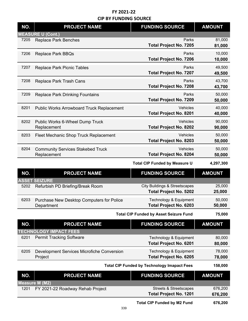| NO.  | <b>PROJECT NAME</b>                                              | <b>FUNDING SOURCE</b>                                                     | <b>AMOUNT</b>      |
|------|------------------------------------------------------------------|---------------------------------------------------------------------------|--------------------|
|      | <b>MEASURE U (Cont.)</b>                                         |                                                                           |                    |
| 7205 | <b>Replace Park Benches</b>                                      | Parks<br><b>Total Project No. 7205</b>                                    | 81,000<br>81,000   |
| 7206 | <b>Replace Park BBQs</b>                                         | Parks<br><b>Total Project No. 7206</b>                                    | 10,000<br>10,000   |
| 7207 | <b>Replace Park Picnic Tables</b>                                | Parks<br><b>Total Project No. 7207</b>                                    | 49,500<br>49,500   |
| 7208 | Replace Park Trash Cans                                          | Parks<br><b>Total Project No. 7208</b>                                    | 43,700<br>43,700   |
| 7209 | <b>Replace Park Drinking Fountains</b>                           | Parks<br><b>Total Project No. 7209</b>                                    | 50,000<br>50,000   |
| 8201 | <b>Public Works Arrowboard Truck Replacement</b>                 | Vehicles<br><b>Total Project No. 8201</b>                                 | 40,000<br>40,000   |
| 8202 | Public Works 6-Wheel Dump Truck<br>Replacement                   | Vehicles<br><b>Total Project No. 8202</b>                                 | 90,000<br>90,000   |
| 8203 | Fleet Mechanic Shop Truck Replacement                            | Vehicles<br><b>Total Project No. 8203</b>                                 | 50,000<br>50,000   |
| 8204 | <b>Community Services Stakebed Truck</b><br>Replacement          | Vehicles<br><b>Total Project No. 8204</b>                                 | 50,000<br>50,000   |
|      |                                                                  | <b>Total CIP Funded by Measure U</b>                                      | 4,297,300          |
| NO.  | <b>PROJECT NAME</b>                                              | <b>FUNDING SOURCE</b>                                                     | <b>AMOUNT</b>      |
|      | <b>ASSET SEIZURE</b>                                             |                                                                           |                    |
| 5202 | Refurbish PD Briefing/Break Room                                 | <b>City Buildings &amp; Streetscapes</b><br><b>Total Project No. 5202</b> | 25,000<br>25,000   |
| 6203 | Purchase New Desktop Computers for Police<br>Department          | Technology & Equipment<br><b>Total Project No. 6203</b>                   | 50,000<br>50,000   |
|      |                                                                  | <b>Total CIP Funded by Asset Seizure Fund</b>                             | 75,000             |
| NO.  | <b>PROJECT NAME</b>                                              | <b>FUNDING SOURCE</b>                                                     | <b>AMOUNT</b>      |
| 6201 | <b>TECHNOLOGY IMPACT FEES</b><br><b>Permit Tracking Software</b> |                                                                           | 80,000             |
|      |                                                                  | Technology & Equipment<br><b>Total Project No. 6201</b>                   | 80,000             |
| 6205 | <b>Development Services Microfiche Conversion</b><br>Project     | Technology & Equipment<br><b>Total Project No. 6205</b>                   | 78,000<br>78,000   |
|      |                                                                  | <b>Total CIP Funded by Technology Imapact Fees</b>                        | 158,000            |
| NO.  | <b>PROJECT NAME</b>                                              | <b>FUNDING SOURCE</b>                                                     | <b>AMOUNT</b>      |
|      | <b>Measure M (M2)</b>                                            |                                                                           |                    |
| 1201 | FY 2021-22 Roadway Rehab Project                                 | <b>Streets &amp; Streetscapes</b><br><b>Total Project No. 1201</b>        | 676,200<br>676,200 |
|      |                                                                  |                                                                           |                    |

**676,200 Total CIP Funded by M2 Fund**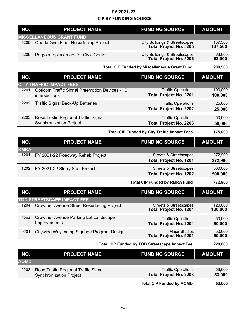| NO.         | <b>PROJECT NAME</b>                                                    | <b>FUNDING SOURCE</b>                                                     | <b>AMOUNT</b>      |
|-------------|------------------------------------------------------------------------|---------------------------------------------------------------------------|--------------------|
|             | <b>MISCELLANEOUS GRANT FUND</b>                                        |                                                                           |                    |
| 5205        | Oberle Gym Floor Resurfacing Project                                   | <b>City Buildings &amp; Streetscapes</b><br><b>Total Project No. 5205</b> | 137,500<br>137,500 |
| 5206        | Pergola replacement for Civic Center                                   | <b>City Buildings &amp; Streetscapes</b><br><b>Total Project No. 5206</b> | 63,000<br>63,000   |
|             |                                                                        | <b>Total CIP Funded by Miscellaneous Grant Fund</b>                       | 200,500            |
| NO.         | <b>PROJECT NAME</b>                                                    | <b>FUNDING SOURCE</b>                                                     | <b>AMOUNT</b>      |
|             | <b>CITY TRAFFIC IMPACT FEES</b>                                        |                                                                           |                    |
| 2201        | <b>Opticom Traffic Signal Preemption Devices - 10</b><br>intersections | <b>Traffic Operations</b><br><b>Total Project No. 2201</b>                | 100,000<br>100,000 |
| 2202        | <b>Traffic Signal Back-Up Batteries</b>                                | <b>Traffic Operations</b><br><b>Total Project No. 2202</b>                | 25,000<br>25,000   |
| 2203        | Rose/Tustin Regional Traffic Signal<br><b>Synchronization Project</b>  | <b>Traffic Operations</b><br><b>Total Project No. 2203</b>                | 50,000<br>50,000   |
|             |                                                                        | <b>Total CIP Funded by City Traffic Impact Fees</b>                       | 175,000            |
| NO.         | <b>PROJECT NAME</b>                                                    | <b>FUNDING SOURCE</b>                                                     | <b>AMOUNT</b>      |
| <b>RMRA</b> |                                                                        |                                                                           |                    |
| 1201        | FY 2021-22 Roadway Rehab Project                                       | <b>Streets &amp; Streetscapes</b>                                         | 272,900            |
|             |                                                                        | <b>Total Project No. 1201</b>                                             | 272,900            |
| 1202        | FY 2021-22 Slurry Seal Project                                         | <b>Streets &amp; Streetscapes</b><br><b>Total Project No. 1202</b>        | 500,000<br>500,000 |
|             |                                                                        | <b>Total CIP Funded by RMRA Fund</b>                                      | 772,900            |
| NO.         | <b>PROJECT NAME</b>                                                    | <b>FUNDING SOURCE</b>                                                     | <b>AMOUNT</b>      |
|             | <b>TOD STREETSCAPE IMPACT FEE</b>                                      |                                                                           |                    |
| 1204        | <b>Crowther Avenue Street Resurfacing Project</b>                      | Streets & Streetscapes<br><b>Total Project No. 1204</b>                   | 120,000<br>120,000 |
| 2204        | <b>Crowther Avenue Parking Lot Landscape</b><br>Improvements           | <b>Traffic Operations</b><br><b>Total Project No. 2204</b>                | 50,000<br>50,000   |
| 9201        | Citywide Wayfinding Signage Program Design                             | <b>Major Studies</b><br><b>Total Project No. 9201</b>                     | 50,000<br>50,000   |
|             |                                                                        | Total CIP Funded by TOD Streetscape Impact Fee                            | 220,000            |
| NO.         | <b>PROJECT NAME</b>                                                    | <b>FUNDING SOURCE</b>                                                     | <b>AMOUNT</b>      |
| <b>AQMD</b> |                                                                        |                                                                           |                    |
| 2203        | Rose/Tustin Regional Traffic Signal<br><b>Synchronization Project</b>  | <b>Traffic Operations</b><br><b>Total Project No. 2203</b>                | 53,000<br>53,000   |
|             |                                                                        | <b>Total CIP Funded by AQMD</b>                                           | 53,000             |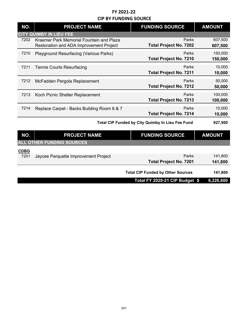| NO.         | <b>PROJECT NAME</b>                                                                 | <b>FUNDING SOURCE</b>                            | <b>AMOUNT</b>      |
|-------------|-------------------------------------------------------------------------------------|--------------------------------------------------|--------------------|
|             | <b>CITY QUIMBY IN LIEU FEE</b>                                                      |                                                  |                    |
| 7202        | Kraemer Park Memorial Fountain and Plaza<br>Restoration and ADA Improvement Project | Parks<br><b>Total Project No. 7202</b>           | 607,500<br>607,500 |
| 7210        | <b>Playground Resurfacing (Various Parks)</b>                                       | Parks<br><b>Total Project No. 7210</b>           | 150,000<br>150,000 |
| 7211        | <b>Tennis Courts Resurfacing</b>                                                    | Parks<br><b>Total Project No. 7211</b>           | 10,000<br>10,000   |
| 7212        | McFadden Pergola Replacement                                                        | Parks<br><b>Total Project No. 7212</b>           | 50,000<br>50,000   |
| 7213        | Koch Picnic Shelter Replacement                                                     | Parks<br><b>Total Project No. 7213</b>           | 100,000<br>100,000 |
| 7214        | Replace Carpet - Backs Building Room 6 & 7                                          | Parks<br><b>Total Project No. 7214</b>           | 10,000<br>10,000   |
|             |                                                                                     | Total CIP Funded by City Quimby In Lieu Fee Fund | 927,500            |
| NO.         | <b>PROJECT NAME</b>                                                                 | <b>FUNDING SOURCE</b>                            | <b>AMOUNT</b>      |
|             | <b>ALL OTHER FUNDING SOURCES</b>                                                    |                                                  |                    |
| <b>CDBG</b> |                                                                                     |                                                  |                    |
| 7201        | Jaycee Parquette Improvement Project                                                | Parks<br><b>Total Project No. 7201</b>           | 141,800<br>141,800 |
|             |                                                                                     | <b>Total CIP Funded by Other Sources</b>         | 141,800            |
|             |                                                                                     | Total FY 2020-21 CIP Budget \$                   | 8,226,600          |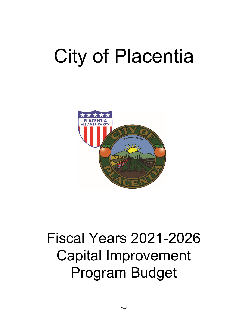# City of Placentia



## Fiscal Years 2021-2026 Capital Improvement Program Budget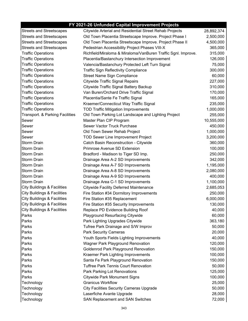#### **FY 2021-26 Unfunded Capital Improvement Projects**

| <b>Streets and Streetscapes</b>        | Citywide Arterial and Residential Street Rehab Projects       | 28,892,374 |
|----------------------------------------|---------------------------------------------------------------|------------|
| <b>Streets and Streetscapes</b>        | Old Town Placentia Streetscape Improve. Project Phase I       | 2,500,000  |
| <b>Streets and Streetscapes</b>        | Old Town Placentia Streetscape Improve. Project Phase II      | 4,500,000  |
| <b>Streets and Streetscapes</b>        | Pedestrian Accessibility Project Phases VIII-X                | 365,000    |
| <b>Traffic Operations</b>              | Richfield/Miraloma & Miraloma/VanBuren Traffic Sgnl. Improve. | 315,000    |
| <b>Traffic Operations</b>              | Placentia/Bastanchury Intersection Improvement                | 126,000    |
| <b>Traffic Operations</b>              | Valencia/Bastanchury Protected Left Turn Signal               | 75,000     |
| <b>Traffic Operations</b>              | <b>Traffic Sign Reflectivity Compliance</b>                   | 300,000    |
| <b>Traffic Operations</b>              | Street Name Sign Compliance                                   | 60,000     |
| <b>Traffic Operations</b>              | <b>Citywide Traffic Signal Repairs</b>                        | 227,000    |
| <b>Traffic Operations</b>              | Citywide Traffic Signal Battery Backup                        | 310,000    |
| <b>Traffic Operations</b>              | Van Buren/Orchard Drive Traffic Signal                        | 170,000    |
| <b>Traffic Operations</b>              | Placentia/Sante Fe Traffic Signal                             | 165,000    |
| <b>Traffic Operations</b>              | Kraemer/Connecticut Way Traffic Signal                        | 235,000    |
| <b>Traffic Operations</b>              | <b>TOD Traffic Mitigation Improvements</b>                    | 1,000,000  |
| Transport. & Parking Facilities        | Old Town Parking Lot Landscape and Lighting Project           | 255,000    |
| Sewer                                  | Master Plan CIP Program                                       | 10,555,000 |
| Sewer                                  | Sewer Vactor Truck Purchase                                   | 450,000    |
| Sewer                                  | Old Town Sewer Rehab Project                                  | 1,000,000  |
| Sewer                                  | <b>TOD Sewer Line Improvement Project</b>                     | 3,200,000  |
| <b>Storm Drain</b>                     | Catch Basin Reconstruction - Citywide                         | 360,000    |
| <b>Storm Drain</b>                     | Primrose Avenue SD Extension                                  | 100,000    |
| <b>Storm Drain</b>                     | Bradford - Madison to Tiger SD Imp.                           | 250,000    |
| <b>Storm Drain</b>                     | Drainage Area A-2 SD Improvements                             | 342,000    |
| <b>Storm Drain</b>                     | Drainage Area A-7 SD Improvements                             | 1,195,000  |
| <b>Storm Drain</b>                     | Drainage Area A-8 SD Improvements                             | 2,080,000  |
| <b>Storm Drain</b>                     | Drainage Area A-9 SD Improvements                             | 400,000    |
| <b>Storm Drain</b>                     | Drainage Area C-1 SD Improvements                             | 1,100,000  |
| City Buildings & Facilities            | <b>Citywide Facility Deferred Maintenance</b>                 | 2,685,053  |
| <b>City Buildings &amp; Facilities</b> | Fire Station #34 Dormitory Improvements                       | 250,000    |
| <b>City Buildings &amp; Facilities</b> | Fire Station #35 Replacement                                  | 6,000,000  |
| <b>City Buildings &amp; Facilities</b> | Fire Station #35 Security Improvements                        | 130,000    |
| <b>City Buildings &amp; Facilities</b> | Replace PD Evidence Building Roof                             | 40,000     |
| Parks                                  | <b>Playground Resurfacing Citywide</b>                        | 60,000     |
| Parks                                  | Park Lighting Upgrades Citywide                               | 363,180    |
| Parks                                  | Tufree Park Drainage and S/W Improv                           | 50,000     |
| Parks                                  | <b>Park Security Cameras</b>                                  | 20,000     |
| Parks                                  | Youth Sports Fields Lighting Improvements                     | 40,000     |
| Parks                                  | Wagner Park Playground Renovation                             | 120,000    |
| Parks                                  | Goldenrod Park Playground Renovation                          | 150,000    |
| Parks                                  | Kraemer Park Lighting Improvements                            | 100,000    |
| Parks                                  | Santa Fe Park Playground Renovation                           | 150,000    |
| Parks                                  | <b>Tuffree Park Tennis Court Renovation</b>                   | 50,000     |
| Parks                                  | Park Parking Lot Renovations                                  | 125,000    |
| Parks                                  | <b>Citywide Park Monument Signs</b>                           | 100,000    |
| Technology                             | <b>Granicus Workflow</b>                                      | 25,000     |
| Technology                             | <b>City Facilities Security Cameras Upgrade</b>               | 50,000     |
| Technology                             | Laserfiche Avante Upgrade                                     | 28,000     |
| Technology                             | SAN Replacement and SAN Switches                              | 72,000     |